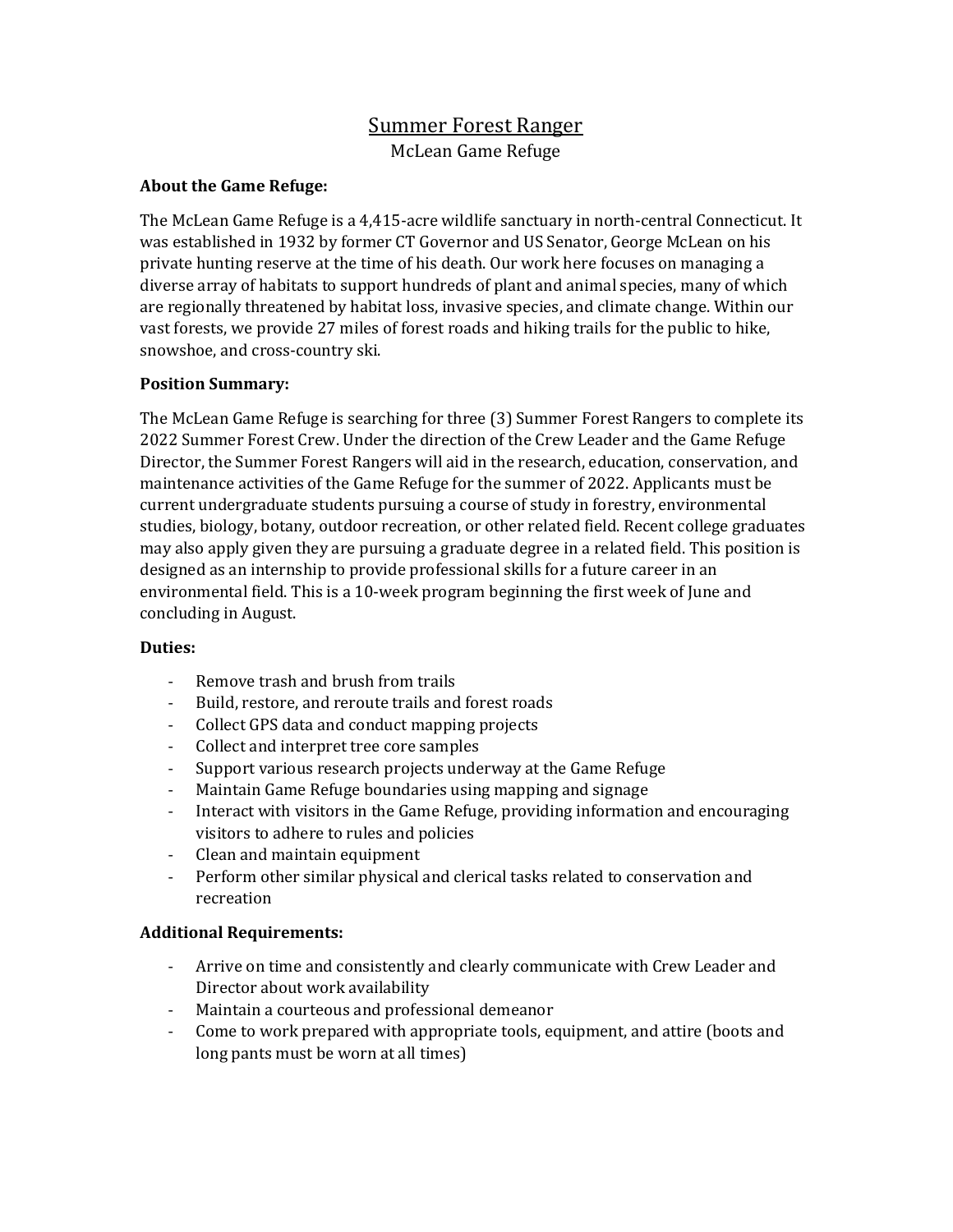# Summer Forest Ranger McLean Game Refuge

### About the Game Refuge:

The McLean Game Refuge is a 4,415-acre wildlife sanctuary in north-central Connecticut. It was established in 1932 by former CT Governor and US Senator, George McLean on his private hunting reserve at the time of his death. Our work here focuses on managing a diverse array of habitats to support hundreds of plant and animal species, many of which are regionally threatened by habitat loss, invasive species, and climate change. Within our vast forests, we provide 27 miles of forest roads and hiking trails for the public to hike, snowshoe, and cross-country ski.

### Position Summary:

The McLean Game Refuge is searching for three (3) Summer Forest Rangers to complete its 2022 Summer Forest Crew. Under the direction of the Crew Leader and the Game Refuge Director, the Summer Forest Rangers will aid in the research, education, conservation, and maintenance activities of the Game Refuge for the summer of 2022. Applicants must be current undergraduate students pursuing a course of study in forestry, environmental studies, biology, botany, outdoor recreation, or other related field. Recent college graduates may also apply given they are pursuing a graduate degree in a related field. This position is designed as an internship to provide professional skills for a future career in an environmental field. This is a 10-week program beginning the first week of June and concluding in August.

#### Duties:

- Remove trash and brush from trails
- Build, restore, and reroute trails and forest roads
- Collect GPS data and conduct mapping projects
- Collect and interpret tree core samples
- Support various research projects underway at the Game Refuge
- Maintain Game Refuge boundaries using mapping and signage
- Interact with visitors in the Game Refuge, providing information and encouraging visitors to adhere to rules and policies
- Clean and maintain equipment
- Perform other similar physical and clerical tasks related to conservation and recreation

# Additional Requirements:

- Arrive on time and consistently and clearly communicate with Crew Leader and Director about work availability
- Maintain a courteous and professional demeanor
- Come to work prepared with appropriate tools, equipment, and attire (boots and long pants must be worn at all times)